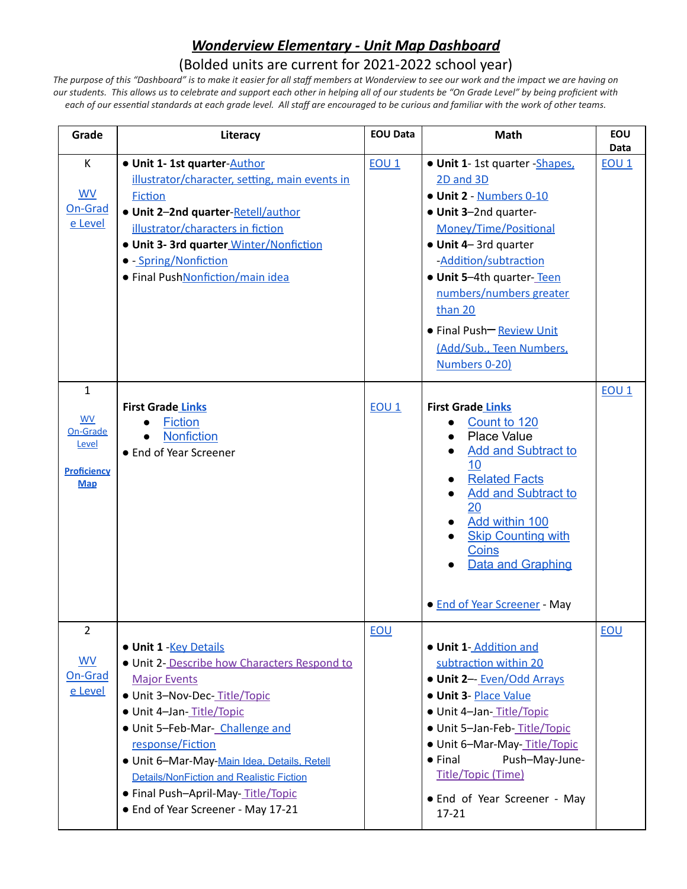## *Wonderview Elementary - Unit Map Dashboard*

## (Bolded units are current for 2021-2022 school year)

*The purpose of this "Dashboard" is to make it easier for all staff members at Wonderview to see our work and the impact we are having on our students. This allows us to celebrate and support each other in helping all of our students be "On Grade Level" by being proficient with* each of our essential standards at each grade level. All staff are encouraged to be curious and familiar with the work of other teams.

| Grade                                                                              | Literacy                                                                                                                                                                                                                                                                                                                                                                                       | <b>EOU Data</b>  | Math                                                                                                                                                                                                                                                                                                                  | EOU<br>Data  |
|------------------------------------------------------------------------------------|------------------------------------------------------------------------------------------------------------------------------------------------------------------------------------------------------------------------------------------------------------------------------------------------------------------------------------------------------------------------------------------------|------------------|-----------------------------------------------------------------------------------------------------------------------------------------------------------------------------------------------------------------------------------------------------------------------------------------------------------------------|--------------|
| K<br><b>WV</b><br>On-Grad<br>e Level                                               | . Unit 1-1st quarter-Author<br>illustrator/character, setting, main events in<br><b>Fiction</b><br>. Unit 2-2nd quarter-Retell/author<br>illustrator/characters in fiction<br>· Unit 3- 3rd quarter Winter/Nonfiction<br>• - Spring/Nonfiction<br>• Final PushNonfiction/main idea                                                                                                             | EOU <sub>1</sub> | . Unit 1-1st quarter - Shapes,<br>2D and 3D<br>· Unit 2 - Numbers 0-10<br>• Unit 3-2nd quarter-<br>Money/Time/Positional<br>· Unit 4-3rd quarter<br>-Addition/subtraction<br>. Unit 5-4th quarter-Teen<br>numbers/numbers greater<br>than 20<br>• Final Push-Review Unit<br>(Add/Sub., Teen Numbers,<br>Numbers 0-20) | <b>EOU 1</b> |
| $\mathbf{1}$<br><b>WV</b><br>On-Grade<br>Level<br><b>Proficiency</b><br><b>Map</b> | <b>First Grade Links</b><br><b>Fiction</b><br><b>Nonfiction</b><br>• End of Year Screener                                                                                                                                                                                                                                                                                                      | EOU <sub>1</sub> | <b>First Grade Links</b><br>Count to 120<br><b>Place Value</b><br>$\bullet$<br><b>Add and Subtract to</b><br>10 <sup>°</sup><br><b>Related Facts</b><br><b>Add and Subtract to</b><br>20<br>Add within 100<br><b>Skip Counting with</b><br>Coins<br><b>Data and Graphing</b><br>• End of Year Screener - May          | $EOU_1$      |
| 2<br><b>WV</b><br>On-Grad<br>e Level                                               | · Unit 1 - Key Details<br>. Unit 2- Describe how Characters Respond to<br><b>Major Events</b><br>· Unit 3-Nov-Dec-Title/Topic<br>· Unit 4-Jan-Title/Topic<br>· Unit 5-Feb-Mar- Challenge and<br>response/Fiction<br>· Unit 6-Mar-May-Main Idea, Details, Retell<br><b>Details/NonFiction and Realistic Fiction</b><br>• Final Push-April-May-Title/Topic<br>• End of Year Screener - May 17-21 | EOU              | . Unit 1-Addition and<br>subtraction within 20<br>· Unit 2-- Even/Odd Arrays<br>· Unit 3- Place Value<br>· Unit 4-Jan-Title/Topic<br>· Unit 5-Jan-Feb-Title/Topic<br>· Unit 6-Mar-May- <b>Title/Topic</b><br>$\bullet$ Final<br>Push-May-June-<br>Title/Topic (Time)<br>• End of Year Screener - May<br>$17 - 21$     | EOU          |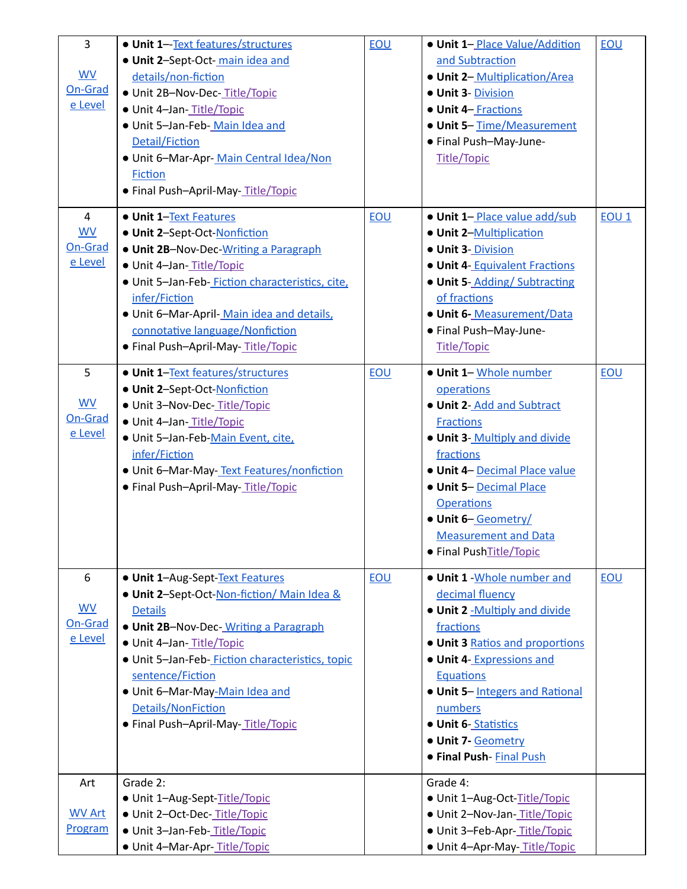| 3                    | · Unit 1-Text features/structures               | EOU | . Unit 1-Place Value/Addition   | EOU              |
|----------------------|-------------------------------------------------|-----|---------------------------------|------------------|
|                      | . Unit 2-Sept-Oct-main idea and                 |     | and Subtraction                 |                  |
| WV                   | details/non-fiction                             |     | • Unit 2- Multiplication/Area   |                  |
| On-Grad              | · Unit 2B-Nov-Dec-Title/Topic                   |     | · Unit 3- Division              |                  |
| e Level              | · Unit 4-Jan-Title/Topic                        |     | <b>• Unit 4- Fractions</b>      |                  |
|                      | · Unit 5-Jan-Feb-Main Idea and                  |     | • Unit 5-Time/Measurement       |                  |
|                      | Detail/Fiction                                  |     | • Final Push-May-June-          |                  |
|                      | · Unit 6-Mar-Apr-Main Central Idea/Non          |     | <b>Title/Topic</b>              |                  |
|                      | <b>Fiction</b>                                  |     |                                 |                  |
|                      | • Final Push-April-May-Title/Topic              |     |                                 |                  |
|                      |                                                 |     |                                 |                  |
| $\overline{4}$       | <b>. Unit 1-Text Features</b>                   | EOU | . Unit 1-Place value add/sub    | EOU <sub>1</sub> |
| <b>WV</b>            | . Unit 2-Sept-Oct-Nonfiction                    |     | • Unit 2-Multiplication         |                  |
| On-Grad              | • Unit 2B-Nov-Dec-Writing a Paragraph           |     | · Unit 3- Division              |                  |
| e Level              | · Unit 4-Jan-Title/Topic                        |     | · Unit 4-Equivalent Fractions   |                  |
|                      | · Unit 5-Jan-Feb-Fiction characteristics, cite, |     | • Unit 5-Adding/Subtracting     |                  |
|                      | infer/Fiction                                   |     | of fractions                    |                  |
|                      | . Unit 6-Mar-April-Main idea and details,       |     | · Unit 6- Measurement/Data      |                  |
|                      | connotative language/Nonfiction                 |     | • Final Push-May-June-          |                  |
|                      | • Final Push-April-May-Title/Topic              |     | <b>Title/Topic</b>              |                  |
|                      |                                                 |     |                                 |                  |
| 5                    | · Unit 1-Text features/structures               | EOU | · Unit 1- Whole number          | <b>EOU</b>       |
|                      | · Unit 2-Sept-Oct-Nonfiction                    |     | operations                      |                  |
| <b>WV</b>            | · Unit 3-Nov-Dec-Title/Topic                    |     | . Unit 2-Add and Subtract       |                  |
| On-Grad              | · Unit 4-Jan-Title/Topic                        |     | <b>Fractions</b>                |                  |
| e Level              | · Unit 5-Jan-Feb-Main Event, cite,              |     | . Unit 3- Multiply and divide   |                  |
|                      | infer/Fiction                                   |     | fractions                       |                  |
|                      | . Unit 6-Mar-May-Text Features/nonfiction       |     | · Unit 4- Decimal Place value   |                  |
|                      | · Final Push-April-May-Title/Topic              |     | <b>. Unit 5-Decimal Place</b>   |                  |
|                      |                                                 |     | <b>Operations</b>               |                  |
|                      |                                                 |     | · Unit 6-Geometry/              |                  |
|                      |                                                 |     | <b>Measurement and Data</b>     |                  |
|                      |                                                 |     | • Final PushTitle/Topic         |                  |
|                      |                                                 |     |                                 |                  |
| 6                    | · Unit 1-Aug-Sept-Text Features                 | EOU | . Unit 1 - Whole number and     | EOU              |
|                      | . Unit 2-Sept-Oct-Non-fiction/ Main Idea &      |     | decimal fluency                 |                  |
| <b>WV</b><br>On-Grad | <b>Details</b>                                  |     | . Unit 2 -Multiply and divide   |                  |
| e Level              | <b>• Unit 2B-Nov-Dec-</b> Writing a Paragraph   |     | fractions                       |                  |
|                      | · Unit 4-Jan-Title/Topic                        |     | . Unit 3 Ratios and proportions |                  |
|                      | · Unit 5-Jan-Feb-Fiction characteristics, topic |     | • Unit 4- Expressions and       |                  |
|                      | sentence/Fiction                                |     | <b>Equations</b>                |                  |
|                      | . Unit 6-Mar-May-Main Idea and                  |     | • Unit 5-Integers and Rational  |                  |
|                      | Details/NonFiction                              |     | numbers                         |                  |
|                      | · Final Push-April-May-Title/Topic              |     | • Unit 6-Statistics             |                  |
|                      |                                                 |     | · Unit 7- Geometry              |                  |
|                      |                                                 |     | <b>• Final Push-Final Push</b>  |                  |
| Art                  | Grade 2:                                        |     | Grade 4:                        |                  |
|                      | • Unit 1-Aug-Sept-Title/Topic                   |     | · Unit 1-Aug-Oct-Title/Topic    |                  |
| <b>WV Art</b>        | · Unit 2-Oct-Dec-Title/Topic                    |     | · Unit 2-Nov-Jan-Title/Topic    |                  |
| Program              | · Unit 3-Jan-Feb-Title/Topic                    |     | · Unit 3-Feb-Apr-Title/Topic    |                  |
|                      | · Unit 4-Mar-Apr-Title/Topic                    |     | • Unit 4-Apr-May-Title/Topic    |                  |
|                      |                                                 |     |                                 |                  |